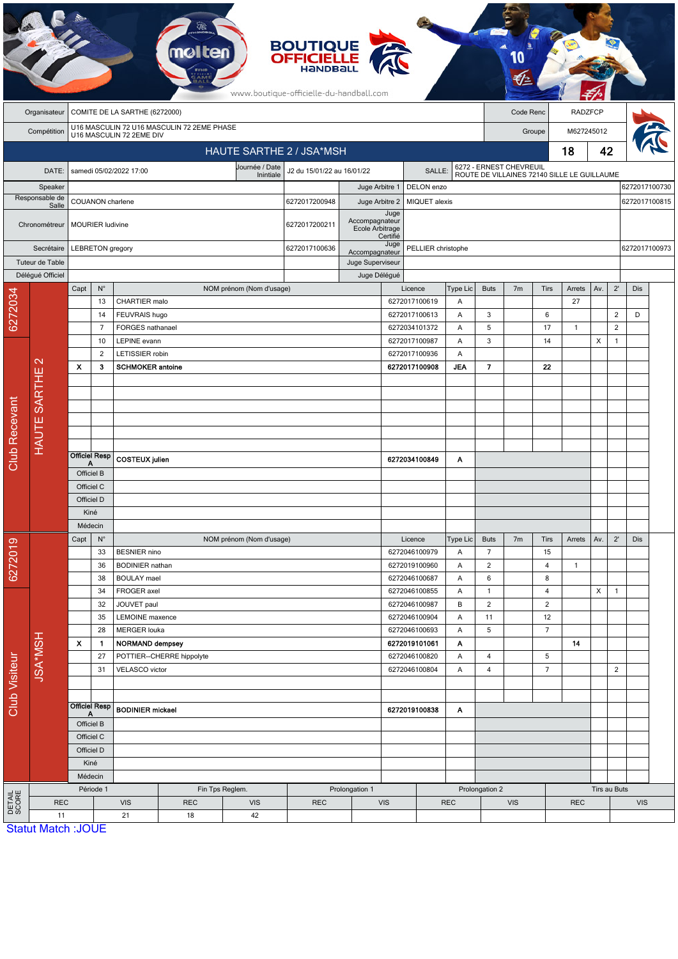|                      |                           |                          |                          |                                 |                                            |                               | <b>BOUTIQUE<br/>OFFICIELLE</b><br>www.boutique-officielle-du-handball.com |                                   |                  |                                |               |                               |                |                                                                        |                |              |                |               |  |
|----------------------|---------------------------|--------------------------|--------------------------|---------------------------------|--------------------------------------------|-------------------------------|---------------------------------------------------------------------------|-----------------------------------|------------------|--------------------------------|---------------|-------------------------------|----------------|------------------------------------------------------------------------|----------------|--------------|----------------|---------------|--|
|                      | Organisateur              |                          |                          | COMITE DE LA SARTHE (6272000)   |                                            |                               |                                                                           |                                   |                  |                                |               |                               | Code Renc      |                                                                        | <b>RADZFCP</b> |              |                |               |  |
|                      | Compétition               |                          |                          | U16 MASCULIN 72 2EME DIV        | U16 MASCULIN 72 U16 MASCULIN 72 2EME PHASE |                               |                                                                           |                                   |                  |                                |               |                               |                | Groupe                                                                 | M627245012     |              |                |               |  |
|                      |                           |                          |                          |                                 |                                            | HAUTE SARTHE 2 / JSA*MSH      |                                                                           |                                   |                  |                                |               |                               |                |                                                                        | 18             | 42           |                |               |  |
|                      | DATE:                     |                          |                          | samedi 05/02/2022 17:00         |                                            | Journée / Date                | J2 du 15/01/22 au 16/01/22                                                |                                   |                  | SALLE:                         |               |                               |                | 6272 - ERNEST CHEVREUIL<br>ROUTE DE VILLAINES 72140 SILLE LE GUILLAUME |                |              |                |               |  |
|                      | Speaker                   |                          |                          |                                 |                                            | Inintiale                     |                                                                           | Juge Arbitre 1                    |                  | DELON enzo                     |               |                               |                |                                                                        |                |              |                | 6272017100730 |  |
|                      | Responsable de            |                          | COUANON charlene         |                                 |                                            |                               | 6272017200948                                                             | Juge Arbitre 2                    |                  | MIQUET alexis                  |               |                               |                |                                                                        |                |              |                | 6272017100815 |  |
|                      | Salle<br>Chronométreur    |                          | MOURIER ludivine         |                                 |                                            |                               | 6272017200211                                                             | Accompagnateur<br>Ecole Arbitrage | Juge<br>Certifié |                                |               |                               |                |                                                                        |                |              |                |               |  |
|                      | Secrétaire                |                          | LEBRETON gregory         |                                 |                                            |                               | 6272017100636                                                             | Accompagnateur                    | Juge             | PELLIER christophe             |               |                               |                |                                                                        |                |              |                | 6272017100973 |  |
|                      | Tuteur de Table           |                          |                          |                                 |                                            |                               |                                                                           | Juge Superviseur                  |                  |                                |               |                               |                |                                                                        |                |              |                |               |  |
|                      | Délégué Officiel          | Capt                     | $\mathsf{N}^\circ$       |                                 |                                            | NOM prénom (Nom d'usage)      |                                                                           | Juge Délégué                      |                  | Licence                        | Type Lic      | <b>Buts</b>                   | 7 <sub>m</sub> | <b>Tirs</b>                                                            | Arrets         | Av.          | $2^{\prime}$   | Dis           |  |
| 6272034              |                           |                          | 13                       | CHARTIER malo                   |                                            |                               |                                                                           |                                   |                  | 6272017100619                  | Α             |                               |                |                                                                        | 27             |              |                |               |  |
|                      |                           |                          | 14                       | FEUVRAIS hugo                   |                                            |                               |                                                                           |                                   |                  | 6272017100613                  | Α             | 3                             |                | 6                                                                      |                |              | $\overline{c}$ | D             |  |
|                      |                           |                          | 7                        | FORGES nathanael                |                                            |                               |                                                                           |                                   |                  | 6272034101372                  | A             | 5                             |                | 17                                                                     | $\mathbf{1}$   |              | $\overline{2}$ |               |  |
|                      |                           |                          | 10<br>$\overline{2}$     | LEPINE evann<br>LETISSIER robin |                                            |                               |                                                                           |                                   |                  | 6272017100987<br>6272017100936 | Α<br>A        | 3                             |                | 14                                                                     |                | X            | $\mathbf{1}$   |               |  |
|                      | $\mathbf{\sim}$           | X                        | 3                        | <b>SCHMOKER antoine</b>         |                                            |                               |                                                                           |                                   |                  | 6272017100908                  | <b>JEA</b>    | $\overline{7}$                |                | 22                                                                     |                |              |                |               |  |
|                      | HAUTE SARTHE              |                          |                          |                                 |                                            |                               |                                                                           |                                   |                  |                                |               |                               |                |                                                                        |                |              |                |               |  |
|                      |                           |                          |                          |                                 |                                            |                               |                                                                           |                                   |                  |                                |               |                               |                |                                                                        |                |              |                |               |  |
|                      |                           |                          |                          |                                 |                                            |                               |                                                                           |                                   |                  |                                |               |                               |                |                                                                        |                |              |                |               |  |
|                      |                           |                          |                          |                                 |                                            |                               |                                                                           |                                   |                  |                                |               |                               |                |                                                                        |                |              |                |               |  |
| <b>Club Recevant</b> |                           |                          |                          |                                 |                                            |                               |                                                                           |                                   |                  |                                |               |                               |                |                                                                        |                |              |                |               |  |
|                      |                           | Α                        | <b>Officiel Resp</b>     | <b>COSTEUX</b> julien           |                                            |                               |                                                                           |                                   |                  | 6272034100849                  | Α             |                               |                |                                                                        |                |              |                |               |  |
|                      |                           | Officiel B<br>Officiel C |                          |                                 |                                            |                               |                                                                           |                                   |                  |                                |               |                               |                |                                                                        |                |              |                |               |  |
|                      |                           |                          | Officiel D               |                                 |                                            |                               |                                                                           |                                   |                  |                                |               |                               |                |                                                                        |                |              |                |               |  |
|                      |                           |                          | Kiné                     |                                 |                                            |                               |                                                                           |                                   |                  |                                |               |                               |                |                                                                        |                |              |                |               |  |
|                      |                           |                          | Médecin                  |                                 |                                            |                               |                                                                           |                                   |                  |                                |               |                               |                |                                                                        |                |              |                |               |  |
|                      |                           | Capt                     | $N^{\circ}$<br>33        | <b>BESNIER</b> nino             |                                            | NOM prénom (Nom d'usage)      |                                                                           |                                   |                  | Licence<br>6272046100979       | Type Lic<br>Α | <b>Buts</b><br>$\overline{7}$ | 7m             | Tirs<br>15                                                             | Arrets         | Av.          | $2^{\prime}$   | Dis           |  |
| 6272019              |                           |                          | 36                       | <b>BODINIER</b> nathan          |                                            |                               |                                                                           |                                   |                  | 6272019100960                  | Α             | $\overline{2}$                |                | $\overline{4}$                                                         | $\mathbf{1}$   |              |                |               |  |
|                      |                           |                          | 38                       | <b>BOULAY</b> mael              |                                            |                               |                                                                           |                                   |                  | 6272046100687                  | Α             | 6                             |                | 8                                                                      |                |              |                |               |  |
|                      |                           |                          | 34                       | FROGER axel                     |                                            |                               |                                                                           |                                   |                  | 6272046100855                  | Α             | $\mathbf{1}$                  |                | 4                                                                      |                | X            | $\mathbf{1}$   |               |  |
|                      |                           |                          | 32<br>35                 | JOUVET paul<br>LEMOINE maxence  |                                            |                               |                                                                           |                                   |                  | 6272046100987<br>6272046100904 | B<br>Α        | $\overline{2}$<br>11          |                | $\overline{2}$<br>12                                                   |                |              |                |               |  |
|                      |                           |                          | 28                       | <b>MERGER louka</b>             |                                            |                               |                                                                           |                                   |                  | 6272046100693                  | Α             | $\sqrt{5}$                    |                | $\overline{7}$                                                         |                |              |                |               |  |
|                      | <b>JSA*MSH</b>            | $\pmb{\chi}$             | $\mathbf{1}$             | <b>NORMAND dempsey</b>          |                                            |                               |                                                                           |                                   |                  | 6272019101061                  | Α             |                               |                |                                                                        | 14             |              |                |               |  |
|                      |                           |                          | 27                       |                                 | POTTIER--CHERRE hippolyte                  |                               |                                                                           |                                   |                  | 6272046100820                  | Α             | $\overline{4}$                |                | 5<br>$\overline{7}$                                                    |                |              | $\overline{2}$ |               |  |
| Club Visiteur        |                           |                          | 31                       | VELASCO victor                  |                                            |                               |                                                                           |                                   |                  | 6272046100804                  | Α             | $\overline{4}$                |                |                                                                        |                |              |                |               |  |
|                      |                           |                          |                          |                                 |                                            |                               |                                                                           |                                   |                  |                                |               |                               |                |                                                                        |                |              |                |               |  |
|                      |                           | A                        | <b>Officiel Resp</b>     | <b>BODINIER</b> mickael         |                                            |                               |                                                                           |                                   |                  | 6272019100838                  | Α             |                               |                |                                                                        |                |              |                |               |  |
|                      |                           |                          | Officiel B<br>Officiel C |                                 |                                            |                               |                                                                           |                                   |                  |                                |               |                               |                |                                                                        |                |              |                |               |  |
|                      |                           |                          | Officiel D               |                                 |                                            |                               |                                                                           |                                   |                  |                                |               |                               |                |                                                                        |                |              |                |               |  |
|                      |                           |                          | Kiné                     |                                 |                                            |                               |                                                                           |                                   |                  |                                |               |                               |                |                                                                        |                |              |                |               |  |
|                      |                           |                          | Médecin                  |                                 |                                            |                               |                                                                           |                                   |                  |                                |               |                               |                |                                                                        |                |              |                |               |  |
| DETAIL<br>SCORE      | <b>REC</b>                |                          | Période 1                | <b>VIS</b>                      | <b>REC</b>                                 | Fin Tps Reglem.<br><b>VIS</b> | <b>REC</b>                                                                | Prolongation 1                    | <b>VIS</b>       |                                | <b>REC</b>    | Prolongation 2                | <b>VIS</b>     |                                                                        | <b>REC</b>     | Tirs au Buts |                | <b>VIS</b>    |  |
|                      | 11                        |                          |                          | 21                              | 18                                         | 42                            |                                                                           |                                   |                  |                                |               |                               |                |                                                                        |                |              |                |               |  |
|                      | <b>Statut Match: JOUE</b> |                          |                          |                                 |                                            |                               |                                                                           |                                   |                  |                                |               |                               |                |                                                                        |                |              |                |               |  |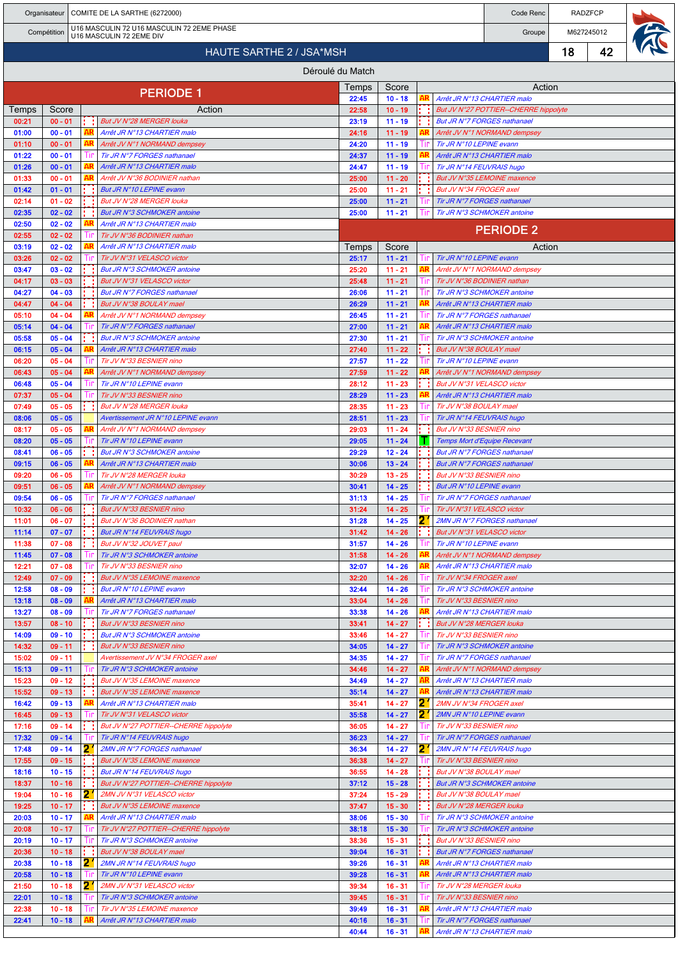|                          |                        |  |          | Organisateur   COMITE DE LA SARTHE (6272000)                           |                  |                        |        |                                                      | Code Renc                                                                   |    | <b>RADZFCP</b> |  |  |  |  |
|--------------------------|------------------------|--|----------|------------------------------------------------------------------------|------------------|------------------------|--------|------------------------------------------------------|-----------------------------------------------------------------------------|----|----------------|--|--|--|--|
|                          | Compétition            |  |          | U16 MASCULIN 72 U16 MASCULIN 72 2EME PHASE<br>U16 MASCULIN 72 2EME DIV |                  |                        |        |                                                      | Groupe                                                                      |    | M627245012     |  |  |  |  |
| HAUTE SARTHE 2 / JSA*MSH |                        |  |          |                                                                        |                  |                        |        |                                                      |                                                                             | 18 | 42             |  |  |  |  |
|                          |                        |  |          |                                                                        | Déroulé du Match |                        |        |                                                      |                                                                             |    |                |  |  |  |  |
|                          |                        |  |          |                                                                        | Temps            | Score                  |        |                                                      | Action                                                                      |    |                |  |  |  |  |
|                          |                        |  |          | <b>PERIODE 1</b>                                                       | 22:45<br>22:58   | $10 - 18$<br>$10 - 19$ |        |                                                      | Arrêt JR N°13 CHARTIER malo                                                 |    |                |  |  |  |  |
| Temps<br>00:21           | Score<br>$00 - 01$     |  |          | Action<br>But JV N°28 MERGER louka                                     | 23:19            | $11 - 19$              |        |                                                      | But JV N°27 POTTIER--CHERRE hippolyte<br><b>But JR N°7 FORGES nathanael</b> |    |                |  |  |  |  |
| 01:00                    | $00 - 01$              |  | AR       | Arrêt JR N°13 CHARTIER malo                                            | 24:16            | $11 - 19$              |        |                                                      | Arrêt JV N°1 NORMAND dempsey                                                |    |                |  |  |  |  |
| 01:10<br>01:22           | $00 - 01$<br>$00 - 01$ |  |          | Arrêt JV N°1 NORMAND dempsey<br>Tir JR N°7 FORGES nathanael            | 24:20<br>24:37   | $11 - 19$<br>$11 - 19$ |        | Tir JR N°10 LEPINE evann                             | Arrêt JR N°13 CHARTIER malo                                                 |    |                |  |  |  |  |
| 01:26                    | $00 - 01$              |  |          | Arrêt JR N°13 CHARTIER malo                                            | 24:47            | $11 - 19$              |        | Tir JR N°14 FEUVRAIS hugo                            |                                                                             |    |                |  |  |  |  |
| 01:33                    | $00 - 01$              |  |          | Arrêt JV N°36 BODINIER nathan                                          | 25:00            | $11 - 20$              |        |                                                      | But JV N°35 LEMOINE maxence                                                 |    |                |  |  |  |  |
| 01:42<br>02:14           | $01 - 01$<br>$01 - 02$ |  |          | But JR N°10 LEPINE evann<br>But JV N°28 MERGER louka                   | 25:00<br>25:00   | $11 - 21$<br>$11 - 21$ |        | But JV N°34 FROGER axel                              | Tir JR N°7 FORGES nathanael                                                 |    |                |  |  |  |  |
| 02:35                    | $02 - 02$              |  |          | But JR N°3 SCHMOKER antoine                                            | 25:00            | $11 - 21$              |        |                                                      | Tir JR N°3 SCHMOKER antoine                                                 |    |                |  |  |  |  |
| 02:50                    | $02 - 02$              |  |          | Arrêt JR N°13 CHARTIER malo                                            |                  |                        |        |                                                      | <b>PERIODE 2</b>                                                            |    |                |  |  |  |  |
| 02:55<br>03:19           | $02 - 02$<br>$02 - 02$ |  |          | Tir JV N°36 BODINIER nathan<br>Arrêt JR N°13 CHARTIER malo             | Temps            | Score                  |        |                                                      | Action                                                                      |    |                |  |  |  |  |
| 03:26                    | $02 - 02$              |  |          | Tir JV N°31 VELASCO victor                                             | 25:17            | $11 - 21$              |        | Tir JR N°10 LEPINE evann                             |                                                                             |    |                |  |  |  |  |
| 03:47                    | $03 - 02$<br>$03 - 03$ |  |          | But JR N°3 SCHMOKER antoine                                            | 25:20            | $11 - 21$              |        |                                                      | Arrêt JV N°1 NORMAND dempsey                                                |    |                |  |  |  |  |
| 04:17<br>04:27           | $04 - 03$              |  |          | But JV N°31 VELASCO victor<br>But JR N°7 FORGES nathanael              | 25:48<br>26:06   | $11 - 21$<br>$11 - 21$ | Шr     | Tir JV N°36 BODINIER nathan                          | Tir JR N°3 SCHMOKER antoine                                                 |    |                |  |  |  |  |
| 04:47                    | $04 - 04$              |  |          | But JV N°38 BOULAY mael                                                | 26:29            | $11 - 21$              |        |                                                      | Arrêt JR N°13 CHARTIER malo                                                 |    |                |  |  |  |  |
| 05:10                    | $04 - 04$              |  |          | Arrêt JV N°1 NORMAND dempsey                                           | 26:45            | $11 - 21$              |        |                                                      | Tir JR N°7 FORGES nathanael                                                 |    |                |  |  |  |  |
| 05:14<br>05:58           | $04 - 04$<br>$05 - 04$ |  |          | Tir JR N°7 FORGES nathanael<br>But JR N°3 SCHMOKER antoine             | 27:00<br>27:30   | $11 - 21$<br>$11 - 21$ |        |                                                      | Arrêt JR N°13 CHARTIER malo<br>Tir JR N°3 SCHMOKER antoine                  |    |                |  |  |  |  |
| 06:15                    | $05 - 04$              |  |          | Arrêt JR N°13 CHARTIER malo                                            | 27:40            | $11 - 22$              |        | But JV N°38 BOULAY mael                              |                                                                             |    |                |  |  |  |  |
| 06:20                    | $05 - 04$              |  |          | Tir JV N°33 BESNIER nino                                               | 27:57            | $11 - 22$              |        | Tir JR N°10 LEPINE evann                             |                                                                             |    |                |  |  |  |  |
| 06:43<br>06:48           | $05 - 04$<br>$05 - 04$ |  |          | Arrêt JV N°1 NORMAND dempsey<br>Tir JR N°10 LEPINE evann               | 27:59<br>28:12   | $11 - 22$<br>$11 - 23$ |        | But JV N°31 VELASCO victor                           | Arrêt JV N°1 NORMAND dempsey                                                |    |                |  |  |  |  |
| 07:37                    | $05 - 04$              |  |          | Tir JV N°33 BESNIER nino                                               | 28:29            | $11 - 23$              |        |                                                      | Arrêt JR N°13 CHARTIER malo                                                 |    |                |  |  |  |  |
| 07:49                    | $05 - 05$              |  | . .      | But JV N°28 MERGER louka                                               | 28:35            | $11 - 23$              |        | Tir JV N°38 BOULAY mael                              |                                                                             |    |                |  |  |  |  |
| 08:06                    | $05 - 05$              |  |          | Avertissement JR N°10 LEPINE evann                                     | 28:51            | $11 - 23$              | Ħг     | Tir JR N°14 FEUVRAIS hugo                            |                                                                             |    |                |  |  |  |  |
| 08:17<br>08:20           | $05 - 05$<br>$05 - 05$ |  |          | Arrêt JV N°1 NORMAND dempsey<br>Tir JR N°10 LEPINE evann               | 29:03<br>29:05   | $11 - 24$<br>$11 - 24$ |        | But JV N°33 BESNIER nino                             | Temps Mort d'Equipe Recevant                                                |    |                |  |  |  |  |
| 08:41                    | $06 - 05$              |  |          | But JR N°3 SCHMOKER antoine                                            | 29:29            | $12 - 24$              |        |                                                      | But JR N°7 FORGES nathanael                                                 |    |                |  |  |  |  |
| 09:15                    | $06 - 05$              |  |          | Arrêt JR N°13 CHARTIER malo                                            | 30:06            | $13 - 24$              |        |                                                      | But JR N°7 FORGES nathanael                                                 |    |                |  |  |  |  |
| 09:20<br>09:51           | $06 - 05$<br>$06 - 05$ |  | AR       | Tir JV N°28 MERGER louka<br>Arrêt JV N°1 NORMAND dempsey               | 30:29<br>30:41   | $13 - 25$<br>$14 - 25$ |        | But JV N°33 BESNIER nino<br>But JR N°10 LEPINE evann |                                                                             |    |                |  |  |  |  |
| 09:54                    | $06 - 05$              |  |          | Tir JR N°7 FORGES nathanael                                            | 31:13            | $14 - 25$              |        |                                                      | Tir JR N°7 FORGES nathanael                                                 |    |                |  |  |  |  |
| 10:32                    | $06 - 06$              |  | t t      | But JV N°33 BESNIER nino                                               | 31:24            | $14 - 25$              | Tir    | Tir JV N°31 VELASCO victor                           |                                                                             |    |                |  |  |  |  |
| 11:01<br>11:14           | $06 - 07$<br>$07 - 07$ |  |          | But JV N°36 BODINIER nathan<br>But JR N°14 FEUVRAIS hugo               | 31:28<br>31:42   | $14 - 25$<br>$14 - 26$ | 2      | But JV N°31 VELASCO victor                           | 2MN JR N°7 FORGES nathanael                                                 |    |                |  |  |  |  |
| 11:38                    | $07 - 08$              |  | t t      | But JV N°32 JOUVET paul                                                | 31:57            | $14 - 26$              |        | Tir JR N°10 LEPINE evann                             |                                                                             |    |                |  |  |  |  |
| 11:45                    | $07 - 08$              |  | Ш        | Tir JR N°3 SCHMOKER antoine                                            | 31:58            | $14 - 26$              |        |                                                      | Arrêt JV N°1 NORMAND dempsey                                                |    |                |  |  |  |  |
| 12:21<br>12:49           | $07 - 08$<br>$07 - 09$ |  | t t      | Tir JV N°33 BESNIER nino<br>But JV N°35 LEMOINE maxence                | 32:07<br>32:20   | $14 - 26$<br>$14 - 26$ |        | Tir JV N°34 FROGER axel                              | Arrêt JR N°13 CHARTIER malo                                                 |    |                |  |  |  |  |
| 12:58                    | $08 - 09$              |  |          | But JR N°10 LEPINE evann                                               | 32:44            | $14 - 26$              | Tin    |                                                      | Tir JR N°3 SCHMOKER antoine                                                 |    |                |  |  |  |  |
| 13:18                    | $08 - 09$              |  |          | Arrêt JR N°13 CHARTIER malo                                            | 33:04            | $14 - 26$              |        | Tir JV N°33 BESNIER nino                             |                                                                             |    |                |  |  |  |  |
| 13:27<br>13:57           | $08 - 09$<br>$08 - 10$ |  | t t      | Tir JR N°7 FORGES nathanael<br>But JV N°33 BESNIER nino                | 33:38<br>33:41   | $14 - 26$<br>$14 - 27$ |        | But JV N°28 MERGER louka                             | Arrêt JR N°13 CHARTIER malo                                                 |    |                |  |  |  |  |
| 14:09                    | $09 - 10$              |  |          | But JR N°3 SCHMOKER antoine                                            | 33:46            | $14 - 27$              |        | Tir JV N°33 BESNIER nino                             |                                                                             |    |                |  |  |  |  |
| 14:32                    | $09 - 11$              |  |          | But JV N°33 BESNIER nino                                               | 34:05            | $14 - 27$              |        |                                                      | Tir JR N°3 SCHMOKER antoine                                                 |    |                |  |  |  |  |
| 15:02<br>15:13           | $09 - 11$<br>$09 - 11$ |  |          | Avertissement JV N°34 FROGER axel<br>Tir JR N°3 SCHMOKER antoine       | 34:35<br>34:46   | $14 - 27$<br>$14 - 27$ | Tir    |                                                      | Tir JR N°7 FORGES nathanael<br>Arrêt JV N°1 NORMAND dempsey                 |    |                |  |  |  |  |
| 15:23                    | $09 - 12$              |  | . .      | But JV N°35 LEMOINE maxence                                            | 34:49            | $14 - 27$              |        |                                                      | Arrêt JR N°13 CHARTIER malo                                                 |    |                |  |  |  |  |
| 15:52                    | $09 - 13$              |  | t t      | But JV N°35 LEMOINE maxence                                            | 35:14            | $14 - 27$              |        |                                                      | Arrêt JR N°13 CHARTIER malo                                                 |    |                |  |  |  |  |
| 16:42<br>16:45           | $09 - 13$<br>$09 - 13$ |  |          | Arrêt JR N°13 CHARTIER malo<br>Tir JV N°31 VELASCO victor              | 35:41<br>35:58   | $14 - 27$<br>$14 - 27$ | 2<br>2 | 2MN JV N°34 FROGER axel<br>2MN JR N°10 LEPINE evann  |                                                                             |    |                |  |  |  |  |
| 17:16                    | $09 - 14$              |  | ÷ί       | But JV N°27 POTTIER--CHERRE hippolyte                                  | 36:05            | $14 - 27$              | Шr     | Tir JV N°33 BESNIER nino                             |                                                                             |    |                |  |  |  |  |
| 17:32                    | $09 - 14$              |  |          | Tir JR N°14 FEUVRAIS hugo                                              | 36:23            | $14 - 27$              |        |                                                      | Tir JR N°7 FORGES nathanael                                                 |    |                |  |  |  |  |
| 17:48<br>17:55           | $09 - 14$<br>$09 - 15$ |  | 2<br>t i | 2MN JR N°7 FORGES nathanael<br>But JV N°35 LEMOINE maxence             | 36:34<br>36:38   | $14 - 27$<br>$14 - 27$ | 21     | Tir JV N°33 BESNIER nino                             | 2MN JR N°14 FEUVRAIS hugo                                                   |    |                |  |  |  |  |
| 18:16                    | $10 - 15$              |  |          | But JR N°14 FEUVRAIS hugo                                              | 36:55            | $14 - 28$              |        | But JV N°38 BOULAY mael                              |                                                                             |    |                |  |  |  |  |
| 18:37                    | $10 - 16$              |  |          | But JV N°27 POTTIER--CHERRE hippolyte                                  | 37:12            | $15 - 28$              |        |                                                      | <b>But JR N°3 SCHMOKER antoine</b>                                          |    |                |  |  |  |  |
| 19:04<br>19:25           | $10 - 16$<br>$10 - 17$ |  | 21       | 2MN JV N°31 VELASCO victor<br>But JV N°35 LEMOINE maxence              | 37:24<br>37:47   | $15 - 29$<br>$15 - 30$ |        | But JV N°38 BOULAY mael<br>But JV N°28 MERGER louka  |                                                                             |    |                |  |  |  |  |
| 20:03                    | $10 - 17$              |  |          | Arrêt JR N°13 CHARTIER malo                                            | 38:06            | $15 - 30$              |        |                                                      | Tir JR N°3 SCHMOKER antoine                                                 |    |                |  |  |  |  |
| 20:08                    | $10 - 17$              |  |          | Tir JV N°27 POTTIER--CHERRE hippolyte                                  | 38:18            | $15 - 30$              |        |                                                      | Tir JR N°3 SCHMOKER antoine                                                 |    |                |  |  |  |  |
| 20:19                    | $10 - 17$              |  | Ш        | Tir JR N°3 SCHMOKER antoine                                            | 38:36            | $15 - 31$              |        | But JV N°33 BESNIER nino                             |                                                                             |    |                |  |  |  |  |
| 20:36<br>20:38           | $10 - 18$<br>$10 - 18$ |  | 21       | But JV N°38 BOULAY mael<br>2MN JR N°14 FEUVRAIS hugo                   | 39:04<br>39:26   | $16 - 31$<br>$16 - 31$ |        |                                                      | But JR N°7 FORGES nathanael<br>Arrêt JR N°13 CHARTIER malo                  |    |                |  |  |  |  |
| 20:58                    | $10 - 18$              |  |          | Tir JR N°10 LEPINE evann                                               | 39:28            | $16 - 31$              |        |                                                      | Arrêt JR N°13 CHARTIER malo                                                 |    |                |  |  |  |  |
| 21:50                    | $10 - 18$              |  | 21       | 2MN JV N°31 VELASCO victor                                             | 39:34            | $16 - 31$              |        | Tir JV N°28 MERGER louka                             |                                                                             |    |                |  |  |  |  |
| 22:01<br>22:38           | $10 - 18$<br>$10 - 18$ |  |          | Tir JR N°3 SCHMOKER antoine<br>Tir JV N°35 LEMOINE maxence             | 39:45<br>39:49   | $16 - 31$<br>$16 - 31$ | -lin   | Tir JV N°33 BESNIER nino                             | Arrêt JR N°13 CHARTIER malo                                                 |    |                |  |  |  |  |
| 22:41                    | $10 - 18$              |  |          | Arrêt JR N°13 CHARTIER malo                                            | 40:16            | $16 - 31$              |        |                                                      | Tir JR N°7 FORGES nathanael                                                 |    |                |  |  |  |  |
|                          |                        |  |          |                                                                        | 40:44            | $16 - 31$              |        |                                                      | Arrêt JR N°13 CHARTIER malo                                                 |    |                |  |  |  |  |